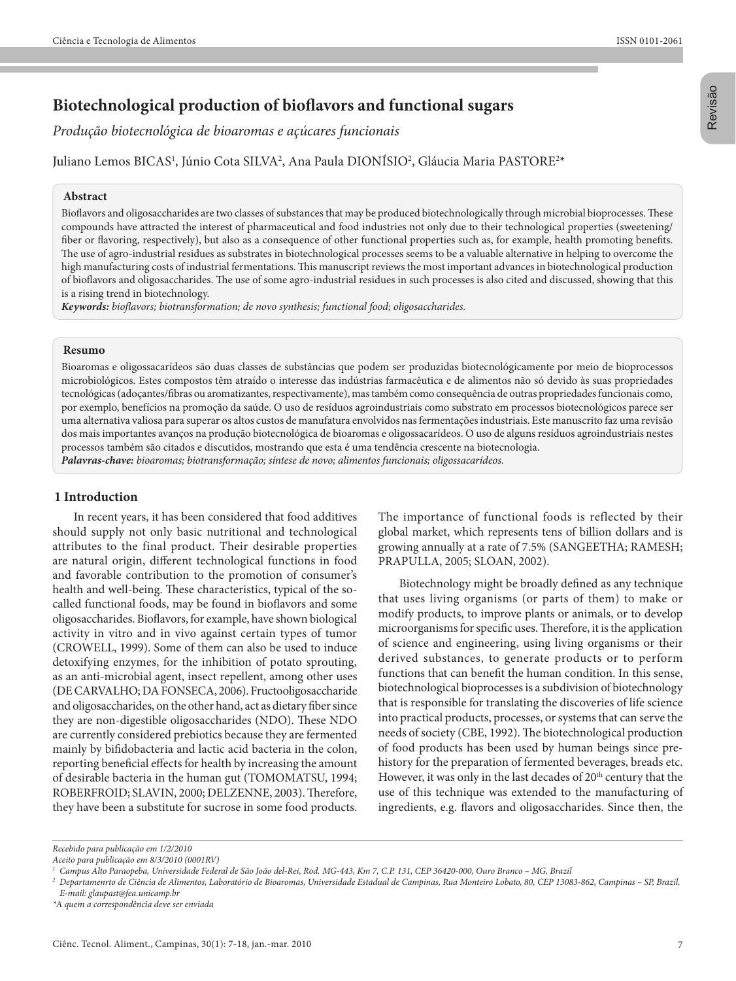# **Biotechnological production of bioflavors and functional sugars**

*Produção biotecnológica de bioaromas e açúcares funcionais*

Juliano Lemos BICAS<sup>1</sup>, Júnio Cota SILVA<sup>2</sup>, Ana Paula DIONÍSIO<sup>2</sup>, Gláucia Maria PASTORE<sup>2</sup>\*

#### **Abstract**

Bioflavors and oligosaccharides are two classes of substances that may be produced biotechnologically through microbial bioprocesses. These compounds have attracted the interest of pharmaceutical and food industries not only due to their technological properties (sweetening/ fiber or flavoring, respectively), but also as a consequence of other functional properties such as, for example, health promoting benefits. The use of agro-industrial residues as substrates in biotechnological processes seems to be a valuable alternative in helping to overcome the high manufacturing costs of industrial fermentations. This manuscript reviews the most important advances in biotechnological production of bioflavors and oligosaccharides. The use of some agro-industrial residues in such processes is also cited and discussed, showing that this is a rising trend in biotechnology.

*Keywords: bioflavors; biotransformation; de novo synthesis; functional food; oligosaccharides.*

#### **Resumo**

Bioaromas e oligossacarídeos são duas classes de substâncias que podem ser produzidas biotecnológicamente por meio de bioprocessos microbiológicos. Estes compostos têm atraído o interesse das indústrias farmacêutica e de alimentos não só devido às suas propriedades tecnológicas (adoçantes/fibras ou aromatizantes, respectivamente), mas também como consequência de outras propriedades funcionais como, por exemplo, benefícios na promoção da saúde. O uso de resíduos agroindustriais como substrato em processos biotecnológicos parece ser uma alternativa valiosa para superar os altos custos de manufatura envolvidos nas fermentações industriais. Este manuscrito faz uma revisão dos mais importantes avanços na produção biotecnológica de bioaromas e oligossacarídeos. O uso de alguns resíduos agroindustriais nestes processos também são citados e discutidos, mostrando que esta é uma tendência crescente na biotecnologia. *Palavras-chave: bioaromas; biotransformação; síntese de novo; alimentos funcionais; oligossacarídeos.*

**1 Introduction**

In recent years, it has been considered that food additives should supply not only basic nutritional and technological attributes to the final product. Their desirable properties are natural origin, different technological functions in food and favorable contribution to the promotion of consumer's health and well-being. These characteristics, typical of the socalled functional foods, may be found in bioflavors and some oligosaccharides. Bioflavors, for example, have shown biological activity in vitro and in vivo against certain types of tumor (CROWELL, 1999). Some of them can also be used to induce detoxifying enzymes, for the inhibition of potato sprouting, as an anti-microbial agent, insect repellent, among other uses (DE CARVALHO; DA FONSECA, 2006). Fructooligosaccharide and oligosaccharides, on the other hand, act as dietary fiber since they are non-digestible oligosaccharides (NDO). These NDO are currently considered prebiotics because they are fermented mainly by bifidobacteria and lactic acid bacteria in the colon, reporting beneficial effects for health by increasing the amount of desirable bacteria in the human gut (TOMOMATSU, 1994; ROBERFROID; SLAVIN, 2000; DELZENNE, 2003). Therefore, they have been a substitute for sucrose in some food products.

The importance of functional foods is reflected by their global market, which represents tens of billion dollars and is growing annually at a rate of 7.5% (SANGEETHA; RAMESH; PRAPULLA, 2005; SLOAN, 2002).

Biotechnology might be broadly defined as any technique that uses living organisms (or parts of them) to make or modify products, to improve plants or animals, or to develop microorganisms for specific uses. Therefore, it is the application of science and engineering, using living organisms or their derived substances, to generate products or to perform functions that can benefit the human condition. In this sense, biotechnological bioprocesses is a subdivision of biotechnology that is responsible for translating the discoveries of life science into practical products, processes, or systems that can serve the needs of society (CBE, 1992). The biotechnological production of food products has been used by human beings since prehistory for the preparation of fermented beverages, breads etc. However, it was only in the last decades of  $20<sup>th</sup>$  century that the use of this technique was extended to the manufacturing of ingredients, e.g. flavors and oligosaccharides. Since then, the

*Recebido para publicação em 1/2/2010* 

*<sup>2</sup> Departamenrto de Ciência de Alimentos, Laboratório de Bioaromas, Universidade Estadual de Campinas, Rua Monteiro Lobato, 80, CEP 13083-862, Campinas – SP, Brazil, E-mail: glaupast@fea.unicamp.br*

*\*A quem a correspondência deve ser enviada*

*Aceito para publicação em 8/3/2010 (0001RV)*

*<sup>1</sup> Campus Alto Paraopeba, Universidade Federal de São João del-Rei, Rod. MG-443, Km 7, C.P. 131, CEP 36420-000, Ouro Branco – MG, Brazil*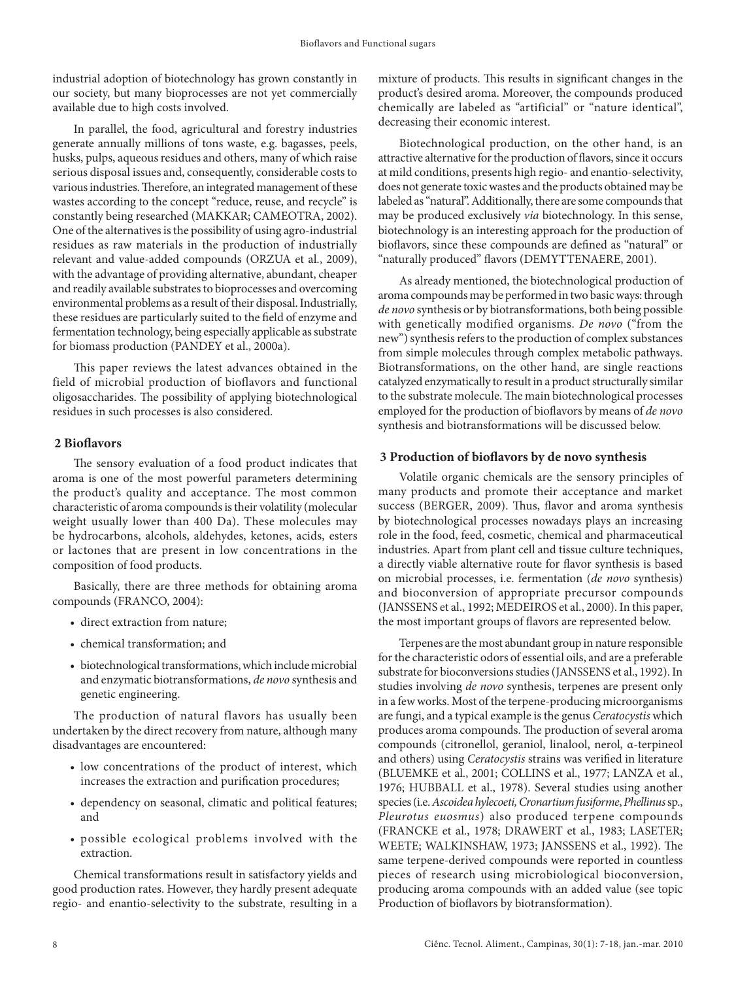industrial adoption of biotechnology has grown constantly in our society, but many bioprocesses are not yet commercially available due to high costs involved.

In parallel, the food, agricultural and forestry industries generate annually millions of tons waste, e.g. bagasses, peels, husks, pulps, aqueous residues and others, many of which raise serious disposal issues and, consequently, considerable costs to various industries. Therefore, an integrated management of these wastes according to the concept "reduce, reuse, and recycle" is constantly being researched (MAKKAR; CAMEOTRA, 2002). One of the alternatives is the possibility of using agro-industrial residues as raw materials in the production of industrially relevant and value-added compounds (ORZUA et al., 2009), with the advantage of providing alternative, abundant, cheaper and readily available substrates to bioprocesses and overcoming environmental problems as a result of their disposal. Industrially, these residues are particularly suited to the field of enzyme and fermentation technology, being especially applicable as substrate for biomass production (PANDEY et al., 2000a).

This paper reviews the latest advances obtained in the field of microbial production of bioflavors and functional oligosaccharides. The possibility of applying biotechnological residues in such processes is also considered.

## **2 Bioflavors**

The sensory evaluation of a food product indicates that aroma is one of the most powerful parameters determining the product's quality and acceptance. The most common characteristic of aroma compounds is their volatility (molecular weight usually lower than 400 Da). These molecules may be hydrocarbons, alcohols, aldehydes, ketones, acids, esters or lactones that are present in low concentrations in the composition of food products.

Basically, there are three methods for obtaining aroma compounds (FRANCO, 2004):

- direct extraction from nature;
- • chemical transformation; and
- biotechnological transformations, which include microbial and enzymatic biotransformations, *de novo* synthesis and genetic engineering.

The production of natural flavors has usually been undertaken by the direct recovery from nature, although many disadvantages are encountered:

- low concentrations of the product of interest, which increases the extraction and purification procedures;
- dependency on seasonal, climatic and political features; and
- • possible ecological problems involved with the extraction.

Chemical transformations result in satisfactory yields and good production rates. However, they hardly present adequate regio- and enantio-selectivity to the substrate, resulting in a mixture of products. This results in significant changes in the product's desired aroma. Moreover, the compounds produced chemically are labeled as "artificial" or "nature identical", decreasing their economic interest.

Biotechnological production, on the other hand, is an attractive alternative for the production of flavors, since it occurs at mild conditions, presents high regio- and enantio-selectivity, does not generate toxic wastes and the products obtained may be labeled as "natural". Additionally, there are some compounds that may be produced exclusively *via* biotechnology. In this sense, biotechnology is an interesting approach for the production of bioflavors, since these compounds are defined as "natural" or "naturally produced" flavors (DEMYTTENAERE, 2001).

As already mentioned, the biotechnological production of aroma compounds may be performed in two basic ways: through *de novo* synthesis or by biotransformations, both being possible with genetically modified organisms. *De novo* ("from the new") synthesis refers to the production of complex substances from simple molecules through complex metabolic pathways. Biotransformations, on the other hand, are single reactions catalyzed enzymatically to result in a product structurally similar to the substrate molecule. The main biotechnological processes employed for the production of bioflavors by means of *de novo* synthesis and biotransformations will be discussed below.

# **3 Production of bioflavors by de novo synthesis**

Volatile organic chemicals are the sensory principles of many products and promote their acceptance and market success (BERGER, 2009). Thus, flavor and aroma synthesis by biotechnological processes nowadays plays an increasing role in the food, feed, cosmetic, chemical and pharmaceutical industries. Apart from plant cell and tissue culture techniques, a directly viable alternative route for flavor synthesis is based on microbial processes, i.e. fermentation (*de novo* synthesis) and bioconversion of appropriate precursor compounds (JANSSENS et al., 1992; MEDEIROS et al., 2000). In this paper, the most important groups of flavors are represented below.

Terpenes are the most abundant group in nature responsible for the characteristic odors of essential oils, and are a preferable substrate for bioconversions studies (JANSSENS et al., 1992). In studies involving *de novo* synthesis, terpenes are present only in a few works. Most of the terpene-producing microorganisms are fungi, and a typical example is the genus *Ceratocystis* which produces aroma compounds. The production of several aroma compounds (citronellol, geraniol, linalool, nerol, α-terpineol and others) using *Ceratocystis* strains was verified in literature (BLUEMKE et al., 2001; COLLINS et al., 1977; LANZA et al., 1976; HUBBALL et al., 1978). Several studies using another species (i.e. *Ascoidea hylecoeti, Cronartium fusiforme*, *Phellinus*sp., *Pleurotus euosmus*) also produced terpene compounds (FRANCKE et al., 1978; DRAWERT et al., 1983; LASETER; WEETE; WALKINSHAW, 1973; JANSSENS et al., 1992). The same terpene-derived compounds were reported in countless pieces of research using microbiological bioconversion, producing aroma compounds with an added value (see topic Production of bioflavors by biotransformation).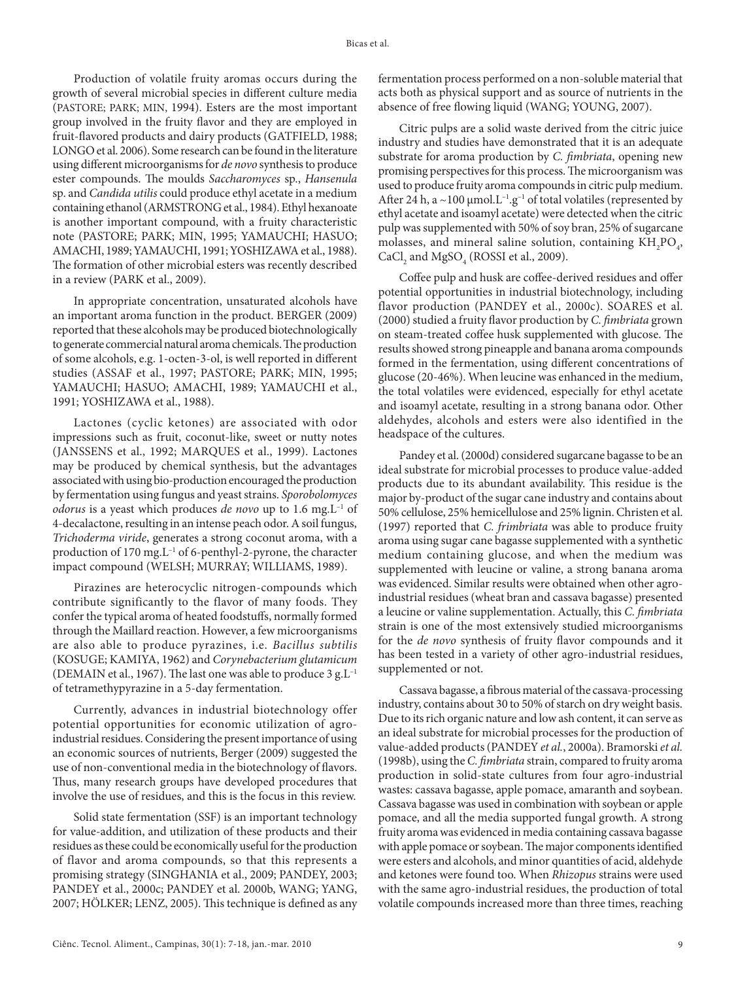Production of volatile fruity aromas occurs during the growth of several microbial species in different culture media (PASTORE; PARK; MIN, 1994). Esters are the most important group involved in the fruity flavor and they are employed in fruit-flavored products and dairy products (GATFIELD, 1988; LONGO et al. 2006). Some research can be found in the literature using different microorganisms for *de novo* synthesis to produce ester compounds. The moulds *Saccharomyces* sp., *Hansenula* sp. and *Candida utilis* could produce ethyl acetate in a medium containing ethanol (ARMSTRONGet al., 1984). Ethyl hexanoate is another important compound, with a fruity characteristic note (PASTORE; PARK; MIN, 1995; YAMAUCHI; HASUO; AMACHI, 1989; YAMAUCHI, 1991; YOSHIZAWA et al., 1988). The formation of other microbial esters was recently described in a review (PARK et al., 2009).

In appropriate concentration, unsaturated alcohols have an important aroma function in the product. BERGER (2009) reported that these alcohols may be produced biotechnologically to generate commercial natural aroma chemicals. The production of some alcohols, e.g. 1-octen-3-ol, is well reported in different studies (ASSAF et al., 1997; PASTORE; PARK; MIN, 1995; YAMAUCHI; HASUO; AMACHI, 1989; YAMAUCHI et al., 1991; YOSHIZAWA et al., 1988).

Lactones (cyclic ketones) are associated with odor impressions such as fruit, coconut-like, sweet or nutty notes (JANSSENS et al., 1992; MARQUES et al., 1999). Lactones may be produced by chemical synthesis, but the advantages associated with using bio-production encouraged the production by fermentation using fungus and yeast strains. *Sporobolomyces odorus* is a yeast which produces *de novo* up to 1.6 mg.L<sup>-1</sup> of 4-decalactone, resulting in an intense peach odor. A soil fungus, *Trichoderma viride*, generates a strong coconut aroma, with a production of 170 mg.L–1 of 6-penthyl-2-pyrone, the character impact compound (WELSH; MURRAY; WILLIAMS, 1989).

Pirazines are heterocyclic nitrogen-compounds which contribute significantly to the flavor of many foods. They confer the typical aroma of heated foodstuffs, normally formed through the Maillard reaction. However, a few microorganisms are also able to produce pyrazines, i.e. *Bacillus subtilis* (KOSUGE; KAMIYA, 1962) and *Corynebacterium glutamicum* (DEMAIN et al., 1967). The last one was able to produce 3 g.L–1 of tetramethypyrazine in a 5-day fermentation.

Currently, advances in industrial biotechnology offer potential opportunities for economic utilization of agroindustrial residues. Considering the present importance of using an economic sources of nutrients, Berger (2009) suggested the use of non-conventional media in the biotechnology of flavors. Thus, many research groups have developed procedures that involve the use of residues, and this is the focus in this review.

Solid state fermentation (SSF) is an important technology for value-addition, and utilization of these products and their residues as these could be economically useful for the production of flavor and aroma compounds, so that this represents a promising strategy (SINGHANIA et al., 2009; PANDEY, 2003; PANDEY et al., 2000c; PANDEY et al. 2000b, WANG; YANG, 2007; HÖLKER; LENZ, 2005). This technique is defined as any fermentation process performed on a non-soluble material that acts both as physical support and as source of nutrients in the absence of free flowing liquid (WANG; YOUNG, 2007).

Citric pulps are a solid waste derived from the citric juice industry and studies have demonstrated that it is an adequate substrate for aroma production by *C. fimbriata*, opening new promising perspectives for this process. The microorganism was used to produce fruity aroma compounds in citric pulp medium. After 24 h, a ~100 µmol.L<sup>-1</sup>.g<sup>-1</sup> of total volatiles (represented by ethyl acetate and isoamyl acetate) were detected when the citric pulp was supplemented with 50% of soy bran, 25% of sugarcane molasses, and mineral saline solution, containing  $KH_{2}PO_{4}$ ,  $CaCl<sub>2</sub>$  and MgSO<sub>4</sub> (ROSSI et al., 2009).

Coffee pulp and husk are coffee-derived residues and offer potential opportunities in industrial biotechnology, including flavor production (PANDEY et al., 2000c). SOARES et al. (2000) studied a fruity flavor production by *C. fimbriata* grown on steam-treated coffee husk supplemented with glucose. The results showed strong pineapple and banana aroma compounds formed in the fermentation, using different concentrations of glucose (20-46%). When leucine was enhanced in the medium, the total volatiles were evidenced, especially for ethyl acetate and isoamyl acetate, resulting in a strong banana odor. Other aldehydes, alcohols and esters were also identified in the headspace of the cultures.

Pandey et al. (2000d) considered sugarcane bagasse to be an ideal substrate for microbial processes to produce value-added products due to its abundant availability. This residue is the major by-product of the sugar cane industry and contains about 50% cellulose, 25% hemicellulose and 25% lignin. Christen et al. (1997) reported that *C. frimbriata* was able to produce fruity aroma using sugar cane bagasse supplemented with a synthetic medium containing glucose, and when the medium was supplemented with leucine or valine, a strong banana aroma was evidenced. Similar results were obtained when other agroindustrial residues (wheat bran and cassava bagasse) presented a leucine or valine supplementation. Actually, this *C. fimbriata* strain is one of the most extensively studied microorganisms for the *de novo* synthesis of fruity flavor compounds and it has been tested in a variety of other agro-industrial residues, supplemented or not.

Cassava bagasse, a fibrous material of the cassava-processing industry, contains about 30 to 50% of starch on dry weight basis. Due to its rich organic nature and low ash content, it can serve as an ideal substrate for microbial processes for the production of value-added products (PANDEY *et al.*, 2000a). Bramorski *et al.* (1998b), using the *C. fimbriata* strain, compared to fruity aroma production in solid-state cultures from four agro-industrial wastes: cassava bagasse, apple pomace, amaranth and soybean. Cassava bagasse was used in combination with soybean or apple pomace, and all the media supported fungal growth. A strong fruity aroma was evidenced in media containing cassava bagasse with apple pomace or soybean. The major components identified were esters and alcohols, and minor quantities of acid, aldehyde and ketones were found too. When *Rhizopus* strains were used with the same agro-industrial residues, the production of total volatile compounds increased more than three times, reaching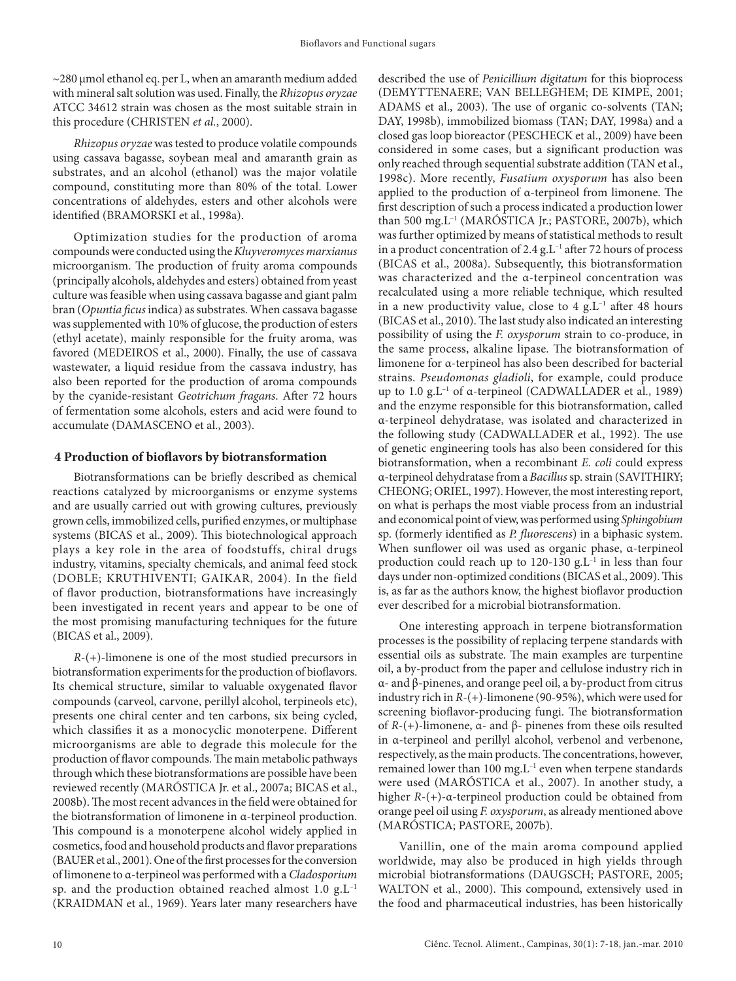$\sim$ 280 µmol ethanol eq. per L, when an amaranth medium added with mineral salt solution was used. Finally, the *Rhizopus oryzae* ATCC 34612 strain was chosen as the most suitable strain in this procedure (CHRISTEN *et al.*, 2000).

*Rhizopus oryzae* was tested to produce volatile compounds using cassava bagasse, soybean meal and amaranth grain as substrates, and an alcohol (ethanol) was the major volatile compound, constituting more than 80% of the total. Lower concentrations of aldehydes, esters and other alcohols were identified (BRAMORSKI et al., 1998a).

Optimization studies for the production of aroma compounds were conducted using the *Kluyveromyces marxianus* microorganism. The production of fruity aroma compounds (principally alcohols, aldehydes and esters) obtained from yeast culture was feasible when using cassava bagasse and giant palm bran (*Opuntia ficus* indica) as substrates. When cassava bagasse was supplemented with 10% of glucose, the production of esters (ethyl acetate), mainly responsible for the fruity aroma, was favored (MEDEIROS et al., 2000). Finally, the use of cassava wastewater, a liquid residue from the cassava industry, has also been reported for the production of aroma compounds by the cyanide-resistant *Geotrichum fragans*. After 72 hours of fermentation some alcohols, esters and acid were found to accumulate (DAMASCENO et al., 2003).

## **4 Production of bioflavors by biotransformation**

Biotransformations can be briefly described as chemical reactions catalyzed by microorganisms or enzyme systems and are usually carried out with growing cultures, previously grown cells, immobilized cells, purified enzymes, or multiphase systems (BICAS et al., 2009). This biotechnological approach plays a key role in the area of foodstuffs, chiral drugs industry, vitamins, specialty chemicals, and animal feed stock (DOBLE; KRUTHIVENTI; GAIKAR, 2004). In the field of flavor production, biotransformations have increasingly been investigated in recent years and appear to be one of the most promising manufacturing techniques for the future (BICAS et al., 2009).

*R*-(+)-limonene is one of the most studied precursors in biotransformation experiments for the production of bioflavors. Its chemical structure, similar to valuable oxygenated flavor compounds (carveol, carvone, perillyl alcohol, terpineols etc), presents one chiral center and ten carbons, six being cycled, which classifies it as a monocyclic monoterpene. Different microorganisms are able to degrade this molecule for the production of flavor compounds. The main metabolic pathways through which these biotransformations are possible have been reviewed recently (MARÓSTICA Jr. et al., 2007a; BICAS et al., 2008b). The most recent advances in the field were obtained for the biotransformation of limonene in α-terpineol production. This compound is a monoterpene alcohol widely applied in cosmetics, food and household products and flavor preparations (BAUER et al., 2001). One of the first processes for the conversion of limonene to α-terpineol was performed with a *Cladosporium* sp. and the production obtained reached almost 1.0 g.L–1 (KRAIDMAN et al., 1969). Years later many researchers have described the use of *Penicillium digitatum* for this bioprocess (DEMYTTENAERE; VAN BELLEGHEM; DE KIMPE, 2001; ADAMS et al., 2003). The use of organic co-solvents (TAN; DAY, 1998b), immobilized biomass (TAN; DAY, 1998a) and a closed gas loop bioreactor (PESCHECK et al., 2009) have been considered in some cases, but a significant production was only reached through sequential substrate addition (TAN et al., 1998c). More recently, *Fusatium oxysporum* has also been applied to the production of α-terpineol from limonene. The first description of such a process indicated a production lower than 500 mg.L–1 (MARÓSTICA Jr.; PASTORE, 2007b), which was further optimized by means of statistical methods to result in a product concentration of 2.4 g.L $^{-1}$  after 72 hours of process (BICAS et al., 2008a). Subsequently, this biotransformation was characterized and the α-terpineol concentration was recalculated using a more reliable technique, which resulted in a new productivity value, close to 4  $g.L^{-1}$  after 48 hours (BICAS et al., 2010). The last study also indicated an interesting possibility of using the *F. oxysporum* strain to co-produce, in the same process, alkaline lipase. The biotransformation of limonene for α-terpineol has also been described for bacterial strains. *Pseudomonas gladioli*, for example, could produce up to 1.0 g.L<sup>-1</sup> of  $\alpha$ -terpineol (CADWALLADER et al., 1989) and the enzyme responsible for this biotransformation, called α-terpineol dehydratase, was isolated and characterized in the following study (CADWALLADER et al., 1992). The use of genetic engineering tools has also been considered for this biotransformation, when a recombinant *E. coli* could express α-terpineol dehydratase from a *Bacillus* sp. strain (SAVITHIRY; CHEONG; ORIEL, 1997). However, the most interesting report, on what is perhaps the most viable process from an industrial and economical point of view, was performed using *Sphingobium* sp. (formerly identified as *P. fluorescens*) in a biphasic system. When sunflower oil was used as organic phase, α-terpineol production could reach up to  $120-130$  g.L<sup>-1</sup> in less than four days under non-optimized conditions (BICAS et al., 2009). This is, as far as the authors know, the highest bioflavor production ever described for a microbial biotransformation.

One interesting approach in terpene biotransformation processes is the possibility of replacing terpene standards with essential oils as substrate. The main examples are turpentine oil, a by-product from the paper and cellulose industry rich in α- and β-pinenes, and orange peel oil, a by-product from citrus industry rich in *R*-(+)-limonene (90-95%), which were used for screening bioflavor-producing fungi. The biotransformation of *R*-(+)-limonene, α- and β- pinenes from these oils resulted in α-terpineol and perillyl alcohol, verbenol and verbenone, respectively, as the main products. The concentrations, however, remained lower than 100 mg.L–1 even when terpene standards were used (MARÓSTICA et al., 2007). In another study, a higher *R*-(+)-α-terpineol production could be obtained from orange peel oil using *F. oxysporum*, as already mentioned above (MARÓSTICA; PASTORE, 2007b).

Vanillin, one of the main aroma compound applied worldwide, may also be produced in high yields through microbial biotransformations (DAUGSCH; PASTORE, 2005; WALTON et al., 2000). This compound, extensively used in the food and pharmaceutical industries, has been historically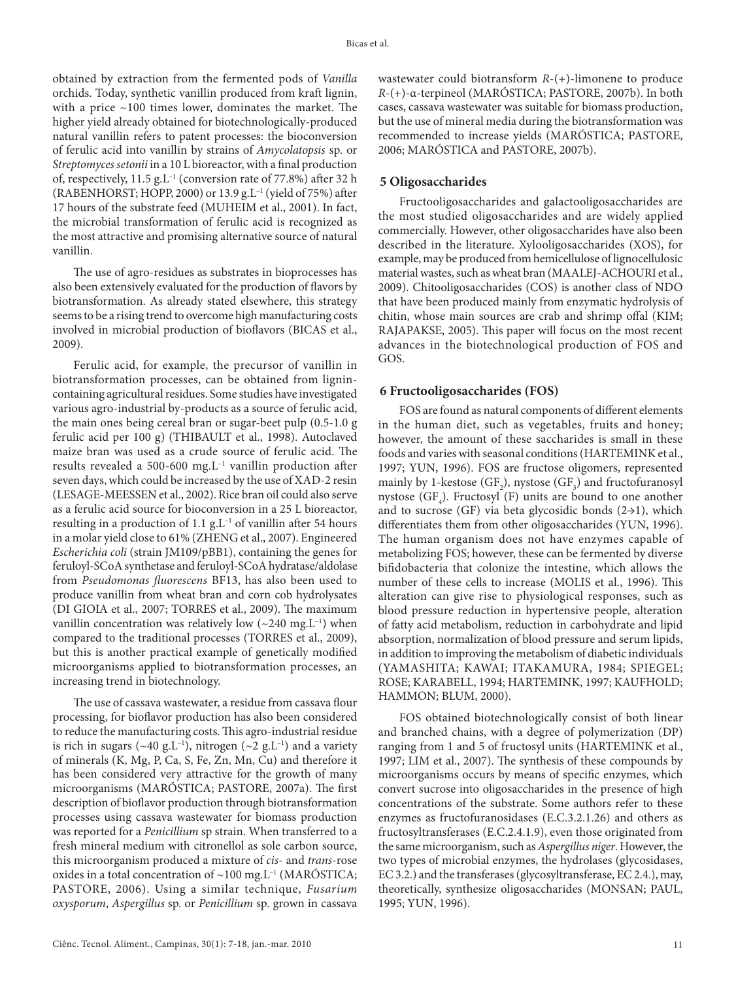obtained by extraction from the fermented pods of *Vanilla* orchids. Today, synthetic vanillin produced from kraft lignin, with a price ~100 times lower, dominates the market. The higher yield already obtained for biotechnologically-produced natural vanillin refers to patent processes: the bioconversion of ferulic acid into vanillin by strains of *Amycolatopsis* sp. or *Streptomyces setonii* in a 10 L bioreactor, with a final production of, respectively, 11.5 g.L–1 (conversion rate of 77.8%) after 32 h (RABENHORST; HOPP, 2000) or 13.9 g.L–1 (yield of 75%) after 17 hours of the substrate feed (MUHEIM et al., 2001). In fact, the microbial transformation of ferulic acid is recognized as the most attractive and promising alternative source of natural vanillin.

The use of agro-residues as substrates in bioprocesses has also been extensively evaluated for the production of flavors by biotransformation. As already stated elsewhere, this strategy seems to be a rising trend to overcome high manufacturing costs involved in microbial production of bioflavors (BICAS et al., 2009).

Ferulic acid, for example, the precursor of vanillin in biotransformation processes, can be obtained from lignincontaining agricultural residues. Some studies have investigated various agro-industrial by-products as a source of ferulic acid, the main ones being cereal bran or sugar-beet pulp (0.5-1.0 g ferulic acid per 100 g) (THIBAULT et al., 1998). Autoclaved maize bran was used as a crude source of ferulic acid. The results revealed a 500-600 mg.L–1 vanillin production after seven days, which could be increased by the use of XAD-2 resin (LESAGE-MEESSEN et al., 2002). Rice bran oil could also serve as a ferulic acid source for bioconversion in a 25 L bioreactor, resulting in a production of  $1.1$  g.L<sup>-1</sup> of vanillin after 54 hours in a molar yield close to 61% (ZHENG et al., 2007). Engineered *Escherichia coli* (strain JM109/pBB1), containing the genes for feruloyl-SCoA synthetase and feruloyl-SCoA hydratase/aldolase from *Pseudomonas fluorescens* BF13, has also been used to produce vanillin from wheat bran and corn cob hydrolysates (DI GIOIA et al., 2007; TORRES et al., 2009). The maximum vanillin concentration was relatively low  $(\sim 240 \text{ mg} \cdot \text{L}^{-1})$  when compared to the traditional processes (TORRES et al., 2009), but this is another practical example of genetically modified microorganisms applied to biotransformation processes, an increasing trend in biotechnology.

The use of cassava wastewater, a residue from cassava flour processing, for bioflavor production has also been considered to reduce the manufacturing costs. This agro-industrial residue is rich in sugars ( $\sim$ 40 g.L<sup>-1</sup>), nitrogen ( $\sim$ 2 g.L<sup>-1</sup>) and a variety of minerals (K, Mg, P, Ca, S, Fe, Zn, Mn, Cu) and therefore it has been considered very attractive for the growth of many microorganisms (MARÓSTICA; PASTORE, 2007a). The first description of bioflavor production through biotransformation processes using cassava wastewater for biomass production was reported for a *Penicillium* sp strain. When transferred to a fresh mineral medium with citronellol as sole carbon source, this microorganism produced a mixture of *cis*- and *trans*-rose oxides in a total concentration of  $\sim$ 100 mg.L<sup>-1</sup> (MARÓSTICA; PASTORE, 2006). Using a similar technique, *Fusarium oxysporum*, *Aspergillus* sp. or *Penicillium* sp. grown in cassava wastewater could biotransform *R*-(+)-limonene to produce *R*-(+)-α-terpineol (MARÓSTICA; PASTORE, 2007b). In both cases, cassava wastewater was suitable for biomass production, but the use of mineral media during the biotransformation was recommended to increase yields (MARÓSTICA; PASTORE, 2006; MARÓSTICA and PASTORE, 2007b).

#### **5 Oligosaccharides**

Fructooligosaccharides and galactooligosaccharides are the most studied oligosaccharides and are widely applied commercially. However, other oligosaccharides have also been described in the literature. Xylooligosaccharides (XOS), for example, may be produced from hemicellulose of lignocellulosic material wastes, such as wheat bran (MAALEJ-ACHOURI et al., 2009). Chitooligosaccharides (COS) is another class of NDO that have been produced mainly from enzymatic hydrolysis of chitin, whose main sources are crab and shrimp offal (KIM; RAJAPAKSE, 2005). This paper will focus on the most recent advances in the biotechnological production of FOS and GOS.

#### **6 Fructooligosaccharides (FOS)**

FOS are found as natural components of different elements in the human diet, such as vegetables, fruits and honey; however, the amount of these saccharides is small in these foods and varies with seasonal conditions (HARTEMINK et al., 1997; YUN, 1996). FOS are fructose oligomers, represented mainly by 1-kestose  $(GF_2)$ , nystose  $(GF_3)$  and fructofuranosyl nystose ( $GF_4$ ). Fructosyl (F) units are bound to one another and to sucrose (GF) via beta glycosidic bonds  $(2\rightarrow 1)$ , which differentiates them from other oligosaccharides (YUN, 1996). The human organism does not have enzymes capable of metabolizing FOS; however, these can be fermented by diverse bifidobacteria that colonize the intestine, which allows the number of these cells to increase (MOLIS et al., 1996). This alteration can give rise to physiological responses, such as blood pressure reduction in hypertensive people, alteration of fatty acid metabolism, reduction in carbohydrate and lipid absorption, normalization of blood pressure and serum lipids, in addition to improving the metabolism of diabetic individuals (YAMASHITA; KAWAI; ITAKAMURA, 1984; SPIEGEL; ROSE; KARABELL, 1994; HARTEMINK, 1997; KAUFHOLD; HAMMON; BLUM, 2000).

FOS obtained biotechnologically consist of both linear and branched chains, with a degree of polymerization (DP) ranging from 1 and 5 of fructosyl units (HARTEMINK et al., 1997; LIM et al., 2007). The synthesis of these compounds by microorganisms occurs by means of specific enzymes, which convert sucrose into oligosaccharides in the presence of high concentrations of the substrate. Some authors refer to these enzymes as fructofuranosidases (E.C.3.2.1.26) and others as fructosyltransferases (E.C.2.4.1.9), even those originated from the same microorganism, such as *Aspergillus niger*. However, the two types of microbial enzymes, the hydrolases (glycosidases, EC 3.2.) and the transferases (glycosyltransferase, EC 2.4.), may, theoretically, synthesize oligosaccharides (MONSAN; PAUL, 1995; YUN, 1996).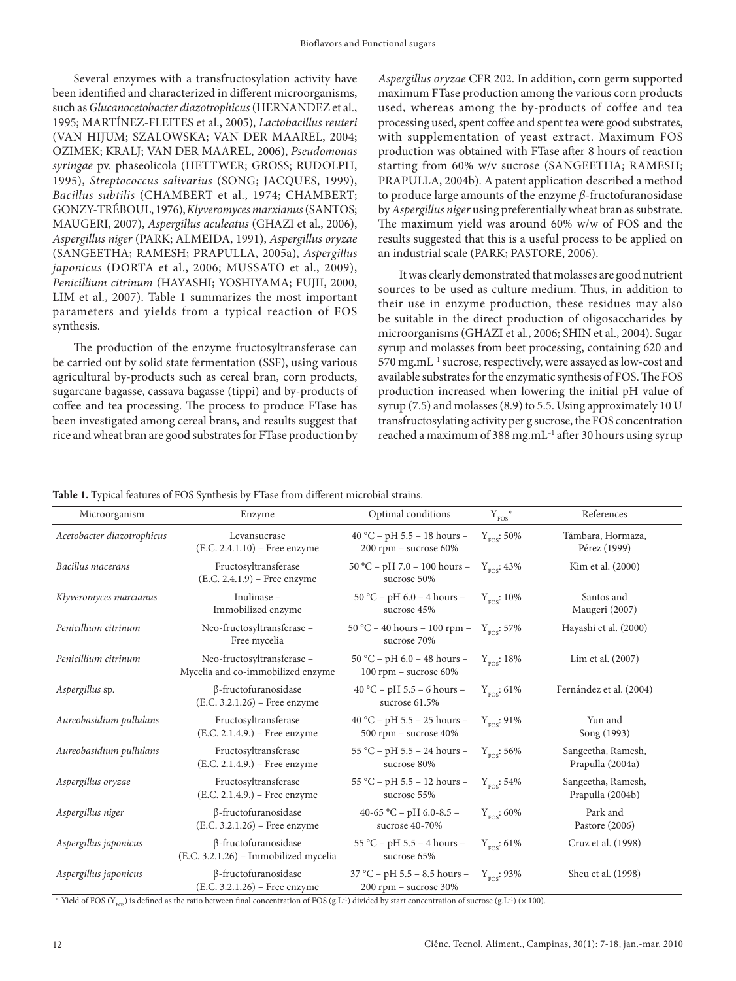Several enzymes with a transfructosylation activity have been identified and characterized in different microorganisms, such as *Glucanocetobacter diazotrophicus* (HERNANDEZ et al., 1995; MARTÍNEZ-FLEITES et al., 2005), *Lactobacillus reuteri* (VAN HIJUM; SZALOWSKA; VAN DER MAAREL, 2004; OZIMEK; KRALJ; VAN DER MAAREL, 2006), *Pseudomonas syringae* pv. phaseolicola (HETTWER; GROSS; RUDOLPH, 1995), *Streptococcus salivarius* (SONG; JACQUES, 1999), *Bacillus subtilis* (CHAMBERT et al., 1974; CHAMBERT; GONZY-TRÉBOUL, 1976),*Klyveromyces marxianus* (SANTOS; MAUGERI, 2007), *Aspergillus aculeatus* (GHAZI et al., 2006), *Aspergillus niger* (PARK; ALMEIDA, 1991), *Aspergillus oryzae* (SANGEETHA; RAMESH; PRAPULLA, 2005a), *Aspergillus japonicus* (DORTA et al., 2006; MUSSATO et al., 2009), *Penicillium citrinum* (HAYASHI; YOSHIYAMA; FUJII, 2000, LIM et al., 2007). Table 1 summarizes the most important parameters and yields from a typical reaction of FOS synthesis.

The production of the enzyme fructosyltransferase can be carried out by solid state fermentation (SSF), using various agricultural by-products such as cereal bran, corn products, sugarcane bagasse, cassava bagasse (tippi) and by-products of coffee and tea processing. The process to produce FTase has been investigated among cereal brans, and results suggest that rice and wheat bran are good substrates for FTase production by *Aspergillus oryzae* CFR 202. In addition, corn germ supported maximum FTase production among the various corn products used, whereas among the by-products of coffee and tea processing used, spent coffee and spent tea were good substrates, with supplementation of yeast extract. Maximum FOS production was obtained with FTase after 8 hours of reaction starting from 60% w/v sucrose (SANGEETHA; RAMESH; PRAPULLA, 2004b). A patent application described a method to produce large amounts of the enzyme *β*-fructofuranosidase by *Aspergillus niger* using preferentially wheat bran as substrate. The maximum yield was around 60% w/w of FOS and the results suggested that this is a useful process to be applied on an industrial scale (PARK; PASTORE, 2006).

It was clearly demonstrated that molasses are good nutrient sources to be used as culture medium. Thus, in addition to their use in enzyme production, these residues may also be suitable in the direct production of oligosaccharides by microorganisms (GHAZI et al., 2006; SHIN et al., 2004). Sugar syrup and molasses from beet processing, containing 620 and 570 mg.mL–1 sucrose, respectively, were assayed as low-cost and available substrates for the enzymatic synthesis of FOS. The FOS production increased when lowering the initial pH value of syrup (7.5) and molasses (8.9) to 5.5. Using approximately 10 U transfructosylating activity per g sucrose, the FOS concentration reached a maximum of 388 mg.mL–1 after 30 hours using syrup

|  |  |  |  |  |  |  |  |  | Table 1. Typical features of FOS Synthesis by FTase from different microbial strains. |  |
|--|--|--|--|--|--|--|--|--|---------------------------------------------------------------------------------------|--|
|--|--|--|--|--|--|--|--|--|---------------------------------------------------------------------------------------|--|

| Microorganism              | Enzyme                                                          | Optimal conditions                                             | $Y_{FOS}^{\star}$      | References                             |
|----------------------------|-----------------------------------------------------------------|----------------------------------------------------------------|------------------------|----------------------------------------|
| Acetobacter diazotrophicus | Levansucrase<br>$(E.C. 2.4.1.10) - Free enzyme$                 | $40 °C - pH 5.5 - 18 hours -$<br>200 rpm - sucrose 60%         | $Y_{FOS}$ : 50%        | Támbara, Hormaza,<br>Pérez (1999)      |
| Bacillus macerans          | Fructosyltransferase<br>$(E.C. 2.4.1.9) - Free enzyme$          | 50 °C - pH 7.0 - 100 hours -<br>sucrose 50%                    | $Y_{\text{FOS}}$ : 43% | Kim et al. (2000)                      |
| Klyveromyces marcianus     | Inulinase $\mathord{\text{--}}$<br>Immobilized enzyme           | $50 °C - pH 6.0 - 4 hours -$<br>sucrose 45%                    | $Y_{\text{EOS}}$ : 10% | Santos and<br>Maugeri (2007)           |
| Penicillium citrinum       | Neo-fructosyltransferase-<br>Free mycelia                       | $50 °C - 40 hours - 100 rpm -$<br>sucrose 70%                  | $Y_{\text{roc}}$ : 57% | Hayashi et al. (2000)                  |
| Penicillium citrinum       | Neo-fructosyltransferase -<br>Mycelia and co-immobilized enzyme | $50 °C - pH 6.0 - 48 hours -$<br>100 rpm - sucrose 60%         | $Y_{\text{FOS}}$ : 18% | Lim et al. (2007)                      |
| Aspergillus sp.            | β-fructofuranosidase<br>$(E.C. 3.2.1.26) - Free enzyme$         | $40 °C - pH 5.5 - 6 hours -$<br>sucrose 61.5%                  | $Y_{FOS}$ : 61%        | Fernández et al. (2004)                |
| Aureobasidium pullulans    | Fructosyltransferase<br>$(E.C. 2.1.4.9.)$ – Free enzyme         | 40 °C – pH 5.5 – 25 hours –<br>500 rpm - sucrose 40%           | $Y_{FOS}$ : 91%        | Yun and<br>Song (1993)                 |
| Aureobasidium pullulans    | Fructosyltransferase<br>$(E.C. 2.1.4.9.)$ – Free enzyme         | 55 °C - pH 5.5 - 24 hours -<br>sucrose 80%                     | $Y_{\text{FOS}}$ : 56% | Sangeetha, Ramesh,<br>Prapulla (2004a) |
| Aspergillus oryzae         | Fructosyltransferase<br>$(E.C. 2.1.4.9.)$ – Free enzyme         | $55^{\circ}$ C – pH 5.5 – 12 hours –<br>sucrose 55%            | $Y_{\text{EOS}}$ : 54% | Sangeetha, Ramesh,<br>Prapulla (2004b) |
| Aspergillus niger          | β-fructofuranosidase<br>$(E.C. 3.2.1.26) - Free enzyme$         | 40-65 °C - pH 6.0-8.5 -<br>sucrose 40-70%                      | $Y_{FOS}$ : 60%        | Park and<br>Pastore (2006)             |
| Aspergillus japonicus      | β-fructofuranosidase<br>(E.C. 3.2.1.26) - Immobilized mycelia   | $55^{\circ}$ C – pH 5.5 – 4 hours –<br>sucrose 65%             | $Y_{FOS}$ : 61%        | Cruz et al. (1998)                     |
| Aspergillus japonicus      | β-fructofuranosidase<br>(E.C. 3.2.1.26) - Free enzyme           | $37^{\circ}$ C – pH 5.5 – 8.5 hours –<br>200 rpm - sucrose 30% | $Y_{FOS}$ : 93%        | Sheu et al. (1998)                     |

 $^*$  Yield of FOS (Y $_{_{\rm FOS}}$ ) is defined as the ratio between final concentration of FOS (g.L<sup>-1</sup>) divided by start concentration of sucrose (g.L<sup>-1</sup>) (× 100).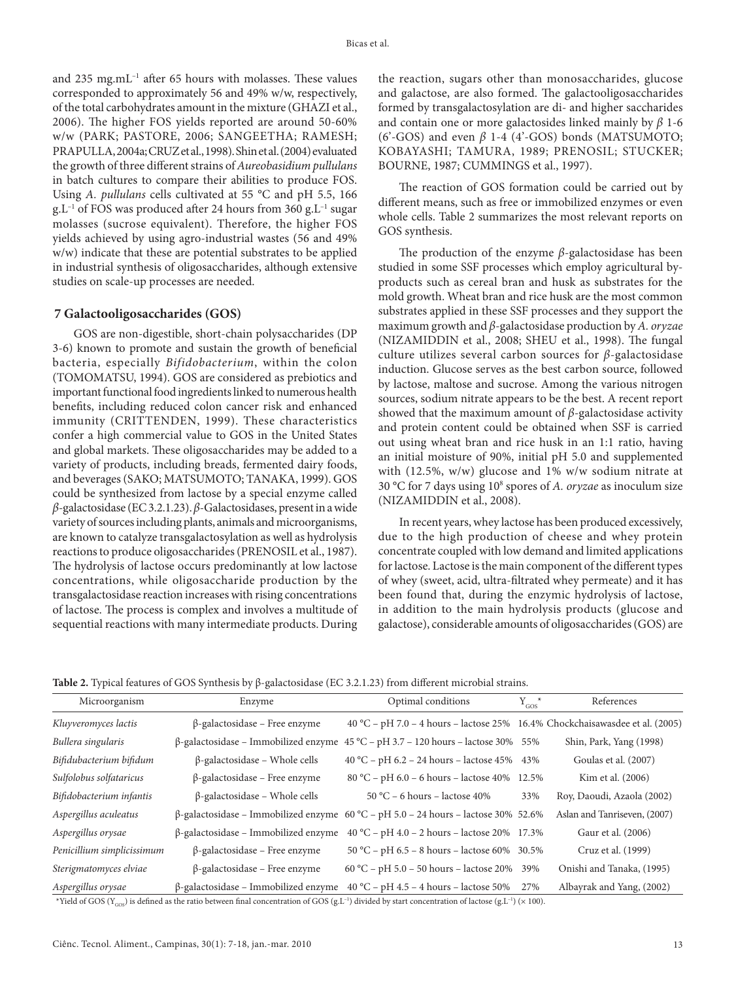and 235 mg.mL–1 after 65 hours with molasses. These values corresponded to approximately 56 and 49% w/w, respectively, of the total carbohydrates amount in the mixture (GHAZI et al., 2006). The higher FOS yields reported are around 50-60% w/w (PARK; PASTORE, 2006; Sangeetha; Ramesh; Prapulla, 2004a; CRUZetal., 1998). Shinetal.(2004) evaluated the growth of three different strains of *Aureobasidium pullulans* in batch cultures to compare their abilities to produce FOS. Using *A. pullulans* cells cultivated at 55 °C and pH 5.5, 166  $g.L^{-1}$  of FOS was produced after 24 hours from 360 g. $L^{-1}$  sugar molasses (sucrose equivalent). Therefore, the higher FOS yields achieved by using agro-industrial wastes (56 and 49% w/w) indicate that these are potential substrates to be applied in industrial synthesis of oligosaccharides, although extensive studies on scale-up processes are needed.

#### **7 Galactooligosaccharides (GOS)**

GOS are non-digestible, short-chain polysaccharides (DP 3-6) known to promote and sustain the growth of beneficial bacteria, especially *Bifidobacterium*, within the colon (TOMOMATSU, 1994). GOS are considered as prebiotics and important functional food ingredients linked to numerous health benefits, including reduced colon cancer risk and enhanced immunity (CRITTENDEN, 1999). These characteristics confer a high commercial value to GOS in the United States and global markets. These oligosaccharides may be added to a variety of products, including breads, fermented dairy foods, and beverages (SAKO; MATSUMOTO; TANAKA, 1999). GOS could be synthesized from lactose by a special enzyme called *β*-galactosidase (EC 3.2.1.23). *β*-Galactosidases, present in a wide variety of sources including plants, animals and microorganisms, are known to catalyze transgalactosylation as well as hydrolysis reactions to produce oligosaccharides (PRENOSIL et al., 1987). The hydrolysis of lactose occurs predominantly at low lactose concentrations, while oligosaccharide production by the transgalactosidase reaction increases with rising concentrations of lactose. The process is complex and involves a multitude of sequential reactions with many intermediate products. During

the reaction, sugars other than monosaccharides, glucose and galactose, are also formed. The galactooligosaccharides formed by transgalactosylation are di- and higher saccharides and contain one or more galactosides linked mainly by *β* 1-6 (6'-GOS) and even *β* 1-4 (4'-GOS) bonds (MATSUMOTO; KOBAYASHI; TAMURA, 1989; PRENOSIL; STUCKER; BOURNE, 1987; CUMMINGS et al., 1997).

The reaction of GOS formation could be carried out by different means, such as free or immobilized enzymes or even whole cells. Table 2 summarizes the most relevant reports on GOS synthesis.

The production of the enzyme *β*-galactosidase has been studied in some SSF processes which employ agricultural byproducts such as cereal bran and husk as substrates for the mold growth. Wheat bran and rice husk are the most common substrates applied in these SSF processes and they support the maximum growth and *β*-galactosidase production by *A. oryzae* (NIZAMIDDIN et al., 2008; SHEU et al., 1998). The fungal culture utilizes several carbon sources for *β*-galactosidase induction. Glucose serves as the best carbon source, followed by lactose, maltose and sucrose. Among the various nitrogen sources, sodium nitrate appears to be the best. A recent report showed that the maximum amount of *β*-galactosidase activity and protein content could be obtained when SSF is carried out using wheat bran and rice husk in an 1:1 ratio, having an initial moisture of 90%, initial pH 5.0 and supplemented with (12.5%, w/w) glucose and 1% w/w sodium nitrate at 30 °C for 7 days using 108 spores of *A. oryzae* as inoculum size (NIZAMIDDIN et al., 2008).

In recent years, whey lactose has been produced excessively, due to the high production of cheese and whey protein concentrate coupled with low demand and limited applications for lactose. Lactose is the main component of the different types of whey (sweet, acid, ultra-filtrated whey permeate) and it has been found that, during the enzymic hydrolysis of lactose, in addition to the main hydrolysis products (glucose and galactose), considerable amounts of oligosaccharides (GOS) are

**Table 2.** Typical features of GOS Synthesis by β-galactosidase (EC 3.2.1.23) from different microbial strains.

| Microorganism              | Enzyme                                      | Optimal conditions                                                                        | $Y_{GOS}^*$ | References                   |
|----------------------------|---------------------------------------------|-------------------------------------------------------------------------------------------|-------------|------------------------------|
| Kluyveromyces lactis       | $\beta$ -galactosidase – Free enzyme        | $40^{\circ}$ C – pH 7.0 – 4 hours – lactose 25% 16.4% Chockchaisawasdee et al. (2005)     |             |                              |
| Bullera singularis         | $\beta$ -galactosidase – Immobilized enzyme | $45^{\circ}$ C – pH 3.7 – 120 hours – lactose 30% 55%                                     |             | Shin, Park, Yang (1998)      |
| Bifidubacterium bifidum    | $\beta$ -galactosidase – Whole cells        | 40 °C – pH 6.2 – 24 hours – lactose 45% 43%                                               |             | Goulas et al. (2007)         |
| Sulfolobus solfataricus    | $\beta$ -galactosidase – Free enzyme        | 80 °C – pH 6.0 – 6 hours – lactose 40% 12.5%                                              |             | Kim et al. (2006)            |
| Bifidobacterium infantis   | $\beta$ -galactosidase – Whole cells        | $50 °C - 6$ hours – lactose 40%                                                           | 33%         | Roy, Daoudi, Azaola (2002)   |
| Aspergillus aculeatus      |                                             | $\beta$ -galactosidase – Immobilized enzyme 60 °C – pH 5.0 – 24 hours – lactose 30% 52.6% |             | Aslan and Tanriseven, (2007) |
| Aspergillus orysae         | $\beta$ -galactosidase – Immobilized enzyme | $40 °C - pH 4.0 - 2 hours - lactose 20% 17.3%$                                            |             | Gaur et al. (2006)           |
| Penicillium simplicissimum | $\beta$ -galactosidase – Free enzyme        | 50 °C – pH 6.5 – 8 hours – lactose 60% 30.5%                                              |             | Cruz et al. (1999)           |
| Sterigmatomyces elviae     | $\beta$ -galactosidase – Free enzyme        | 60 °C – pH 5.0 – 50 hours – lactose 20%                                                   | 39%         | Onishi and Tanaka, (1995)    |
| Aspergillus orysae         | $\beta$ -galactosidase – Immobilized enzyme | $40 °C - pH 4.5 - 4 hours - lactose 50%$                                                  | 27%         | Albayrak and Yang, (2002)    |

\*Yield of GOS (Y $_{\rm{cos}}$ ) is defined as the ratio between final concentration of GOS (g.L<sup>-1</sup>) divided by start concentration of lactose (g.L<sup>-1</sup>) (× 100).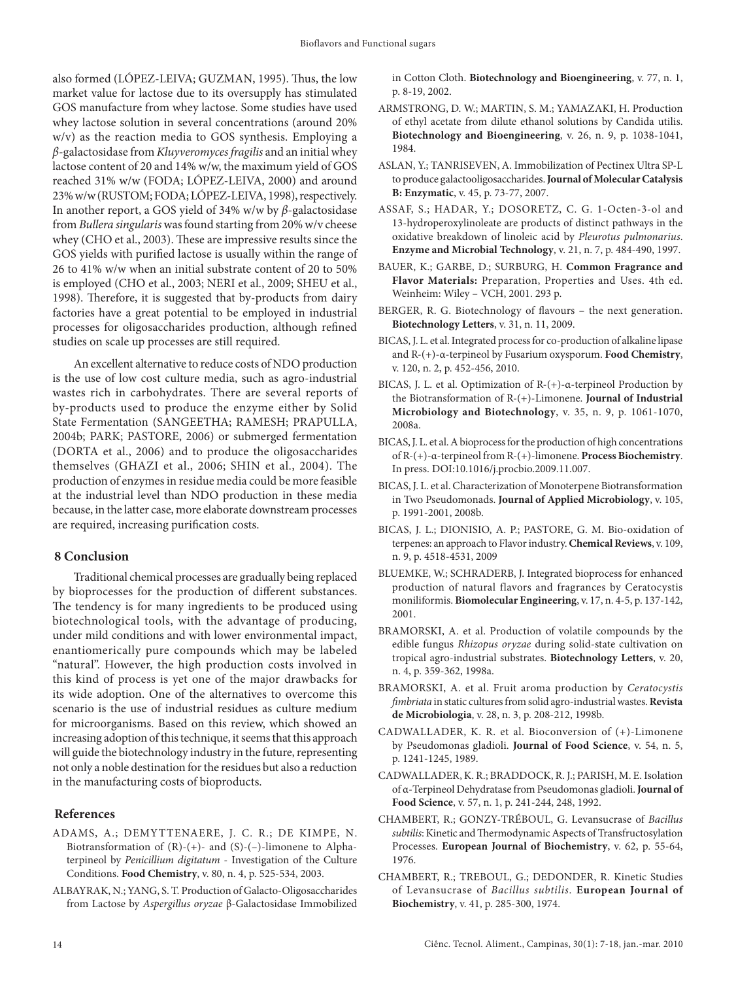also formed (LÓPEZ-LEIVA; GUZMAN, 1995). Thus, the low market value for lactose due to its oversupply has stimulated GOS manufacture from whey lactose. Some studies have used whey lactose solution in several concentrations (around 20% w/v) as the reaction media to GOS synthesis. Employing a *β*-galactosidase from *Kluyveromyces fragilis* and an initial whey lactose content of 20 and 14% w/w, the maximum yield of GOS reached 31% w/w (FODA; LÓPEZ-LEIVA, 2000) and around 23% w/w (RUSTOM; FODA; LÓPEZ-LEIVA, 1998), respectively. In another report, a GOS yield of 34% w/w by *β*-galactosidase from *Bullera singularis* was found starting from 20% w/v cheese whey (CHO et al., 2003). These are impressive results since the GOS yields with purified lactose is usually within the range of 26 to 41% w/w when an initial substrate content of 20 to 50% is employed (CHO et al., 2003; NERI et al., 2009; SHEU et al., 1998). Therefore, it is suggested that by-products from dairy factories have a great potential to be employed in industrial processes for oligosaccharides production, although refined studies on scale up processes are still required.

An excellent alternative to reduce costs of NDO production is the use of low cost culture media, such as agro-industrial wastes rich in carbohydrates. There are several reports of by-products used to produce the enzyme either by Solid State Fermentation (SANGEETHA; RAMESH; PRAPULLA, 2004b; PARK; PASTORE, 2006) or submerged fermentation (DORTA et al., 2006) and to produce the oligosaccharides themselves (GHAZI et al., 2006; SHIN et al., 2004). The production of enzymes in residue media could be more feasible at the industrial level than NDO production in these media because, in the latter case, more elaborate downstream processes are required, increasing purification costs.

# **8 Conclusion**

Traditional chemical processes are gradually being replaced by bioprocesses for the production of different substances. The tendency is for many ingredients to be produced using biotechnological tools, with the advantage of producing, under mild conditions and with lower environmental impact, enantiomerically pure compounds which may be labeled "natural". However, the high production costs involved in this kind of process is yet one of the major drawbacks for its wide adoption. One of the alternatives to overcome this scenario is the use of industrial residues as culture medium for microorganisms. Based on this review, which showed an increasing adoption of this technique, it seems that this approach will guide the biotechnology industry in the future, representing not only a noble destination for the residues but also a reduction in the manufacturing costs of bioproducts.

#### **References**

- ADAMS, A.; DEMYTTENAERE, J. C. R.; DE KIMPE, N. Biotransformation of  $(R)-(+)$ - and  $(S)-(-)$ -limonene to Alphaterpineol by *Penicillium digitatum* - Investigation of the Culture Conditions. **Food Chemistry**, v. 80, n. 4, p. 525-534, 2003.
- ALBAYRAK, N.; YANG, S. T. Production of Galacto-Oligosaccharides from Lactose by *Aspergillus oryzae* β-Galactosidase Immobilized

in Cotton Cloth. **Biotechnology and Bioengineering**, v. 77, n. 1, p. 8-19, 2002.

- ARMSTRONG, D. W.; MARTIN, S. M.; YAMAZAKI, H. Production of ethyl acetate from dilute ethanol solutions by Candida utilis. **Biotechnology and Bioengineering**, v. 26, n. 9, p. 1038-1041, 1984.
- ASLAN, Y.; TANRISEVEN, A. Immobilization of Pectinex Ultra SP-L to produce galactooligosaccharides. **Journal of Molecular Catalysis B: Enzymatic**, v. 45, p. 73-77, 2007.
- ASSAF, S.; HADAR, Y.; DOSORETZ, C. G. 1-Octen-3-ol and 13-hydroperoxylinoleate are products of distinct pathways in the oxidative breakdown of linoleic acid by *Pleurotus pulmonarius*. **Enzyme and Microbial Technology**, v. 21, n. 7, p. 484-490, 1997.
- BAUER, K.; GARBE, D.; SURBURG, H. **Common Fragrance and Flavor Materials:** Preparation, Properties and Uses. 4th ed. Weinheim: Wiley – VCH, 2001. 293 p.
- BERGER, R. G. Biotechnology of flavours the next generation. **Biotechnology Letters**, v. 31, n. 11, 2009.
- BICAS, J. L. et al. Integrated process for co-production of alkaline lipase and R-(+)-α-terpineol by Fusarium oxysporum. **Food Chemistry**, v. 120, n. 2, p. 452-456, 2010.
- BICAS, J. L. et al. Optimization of R-(+)-α-terpineol Production by the Biotransformation of R-(+)-Limonene. **Journal of Industrial Microbiology and Biotechnology**, v. 35, n. 9, p. 1061-1070, 2008a.
- BICAS, J. L. et al. A bioprocess for the production of high concentrations of R-(+)-α-terpineol from R-(+)-limonene. **Process Biochemistry**. In press. DOI:10.1016/j.procbio.2009.11.007.
- BICAS, J. L. et al. Characterization of Monoterpene Biotransformation in Two Pseudomonads. **Journal of Applied Microbiology**, v. 105, p. 1991-2001, 2008b.
- BICAS, J. L.; DIONISIO, A. P.; PASTORE, G. M. Bio-oxidation of terpenes: an approach to Flavor industry. **Chemical Reviews**, v. 109, n. 9, p. 4518-4531, 2009
- BLUEMKE, W.; SCHRADERB, J. Integrated bioprocess for enhanced production of natural flavors and fragrances by Ceratocystis moniliformis. **Biomolecular Engineering**, v. 17, n. 4-5, p. 137-142, 2001.
- BRAMORSKI, A. et al. Production of volatile compounds by the edible fungus *Rhizopus oryzae* during solid-state cultivation on tropical agro-industrial substrates. **Biotechnology Letters**, v. 20, n. 4, p. 359-362, 1998a.
- BRAMORSKI, A. et al. Fruit aroma production by *Ceratocystis fimbriata* in static cultures from solid agro-industrial wastes. **Revista de Microbiologia**, v. 28, n. 3, p. 208-212, 1998b.
- CADWALLADER, K. R. et al. Bioconversion of (+)-Limonene by Pseudomonas gladioli. **Journal of Food Science**, v. 54, n. 5, p. 1241-1245, 1989.
- CADWALLADER, K. R.; BRADDOCK, R. J.; PARISH, M. E. Isolation of α-Terpineol Dehydratase from Pseudomonas gladioli.**Journal of Food Science**, v. 57, n. 1, p. 241-244, 248, 1992.
- CHAMBERT, R.; GONZY-TRÉBOUL, G. Levansucrase of *Bacillus subtilis*: Kinetic and Thermodynamic Aspects of Transfructosylation Processes. **European Journal of Biochemistry**, v. 62, p. 55-64, 1976.
- CHAMBERT, R.; TREBOUL, G.; DEDONDER, R. Kinetic Studies of Levansucrase of *Bacillus subtilis*. **European Journal of Biochemistry**, v. 41, p. 285-300, 1974.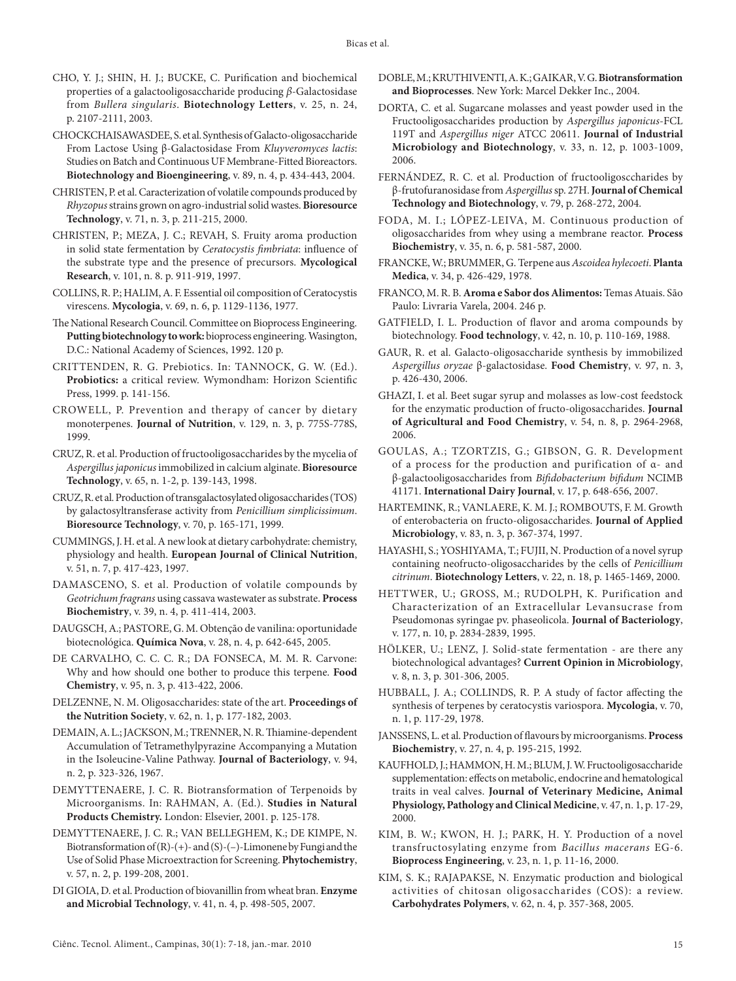- CHO, Y. J.; SHIN, H. J.; BUCKE, C. Purification and biochemical properties of a galactooligosaccharide producing *β*-Galactosidase from *Bullera singularis*. **Biotechnology Letters**, v. 25, n. 24, p. 2107-2111, 2003.
- CHOCKCHAISAWASDEE, S. et al. Synthesis of Galacto-oligosaccharide From Lactose Using β-Galactosidase From *Kluyveromyces lactis*: Studies on Batch and Continuous UF Membrane-Fitted Bioreactors. **Biotechnology and Bioengineering**, v. 89, n. 4, p. 434-443, 2004.
- CHRISTEN, P. et al. Caracterization of volatile compounds produced by *Rhyzopus* strains grown on agro-industrial solid wastes. **Bioresource Technology**, v. 71, n. 3, p. 211-215, 2000.
- CHRISTEN, P.; MEZA, J. C.; REVAH, S. Fruity aroma production in solid state fermentation by *Ceratocystis fimbriata*: influence of the substrate type and the presence of precursors. **Mycological Research**, v. 101, n. 8. p. 911-919, 1997.
- COLLINS, R. P.; HALIM, A. F. Essential oil composition of Ceratocystis virescens. **Mycologia**, v. 69, n. 6, p. 1129-1136, 1977.
- The National Research Council. Committee on Bioprocess Engineering. **Putting biotechnology to work:** bioprocess engineering. Wasington, D.C.: National Academy of Sciences, 1992. 120 p.
- CRITTENDEN, R. G. Prebiotics. In: TANNOCK, G. W. (Ed.). **Probiotics:** a critical review. Wymondham: Horizon Scientific Press, 1999. p. 141-156.
- CROWELL, P. Prevention and therapy of cancer by dietary monoterpenes. **Journal of Nutrition**, v. 129, n. 3, p. 775S-778S, 1999.
- CRUZ, R. et al. Production of fructooligosaccharides by the mycelia of *Aspergillus japonicus* immobilized in calcium alginate. **Bioresource Technology**, v. 65, n. 1-2, p. 139-143, 1998.
- CRUZ, R. et al. Production of transgalactosylated oligosaccharides (TOS) by galactosyltransferase activity from *Penicillium simplicissimum*. **Bioresource Technology**, v. 70, p. 165-171, 1999.
- CUMMINGS, J. H. et al. A new look at dietary carbohydrate: chemistry, physiology and health. **European Journal of Clinical Nutrition**, v. 51, n. 7, p. 417-423, 1997.
- DAMASCENO, S. et al. Production of volatile compounds by *Geotrichum fragrans* using cassava wastewater as substrate. **Process Biochemistry**, v. 39, n. 4, p. 411-414, 2003.
- DAUGSCH, A.; PASTORE, G. M. Obtenção de vanilina: oportunidade biotecnológica. **Química Nova**, v. 28, n. 4, p. 642-645, 2005.
- DE CARVALHO, C. C. C. R.; DA FONSECA, M. M. R. Carvone: Why and how should one bother to produce this terpene. **Food Chemistry**, v. 95, n. 3, p. 413-422, 2006.
- DELZENNE, N. M. Oligosaccharides: state of the art. **Proceedings of the Nutrition Society**, v. 62, n. 1, p. 177-182, 2003.
- DEMAIN,A. L.; JACKSON, M.; TRENNER, N. R. Thiamine-dependent Accumulation of Tetramethylpyrazine Accompanying a Mutation in the Isoleucine-Valine Pathway. **Journal of Bacteriology**, v. 94, n. 2, p. 323-326, 1967.
- DEMYTTENAERE, J. C. R. Biotransformation of Terpenoids by Microorganisms. In: RAHMAN, A. (Ed.). **Studies in Natural Products Chemistry.** London: Elsevier, 2001. p. 125-178.
- DEMYTTENAERE, J. C. R.; VAN BELLEGHEM, K.; DE KIMPE, N. Biotransformation of  $(R)-(+)$ - and  $(S)-(-)$ -Limonene by Fungi and the Use of Solid Phase Microextraction for Screening.**Phytochemistry**, v. 57, n. 2, p. 199-208, 2001.
- DI GIOIA, D. et al. Production of biovanillin from wheat bran. **Enzyme and Microbial Technology**, v. 41, n. 4, p. 498-505, 2007.
- DOBLE, M.; KRUTHIVENTI, A. K.; GAIKAR, V. G. **Biotransformation and Bioprocesses**. New York: Marcel Dekker Inc., 2004.
- DORTA, C. et al. Sugarcane molasses and yeast powder used in the Fructooligosaccharides production by *Aspergillus japonicus*-FCL 119T and *Aspergillus niger* ATCC 20611. **Journal of Industrial Microbiology and Biotechnology**, v. 33, n. 12, p. 1003-1009, 2006.
- FERNÁNDEZ, R. C. et al. Production of fructooligosccharides by β-frutofuranosidase from *Aspergillus* sp. 27H. **Journal of Chemical Technology and Biotechnology**, v. 79, p. 268-272, 2004.
- FODA, M. I.; LÓPEZ-LEIVA, M. Continuous production of oligosaccharides from whey using a membrane reactor. **Process Biochemistry**, v. 35, n. 6, p. 581-587, 2000.
- FRANCKE, W.; BRUMMER, G. Terpene aus *Ascoidea hylecoeti*. **Planta Medica**, v. 34, p. 426-429, 1978.
- FRANCO, M. R. B. **Aroma e Sabor dos Alimentos:** Temas Atuais. São Paulo: Livraria Varela, 2004. 246 p.
- GATFIELD, I. L. Production of flavor and aroma compounds by biotechnology. **Food technology**, v. 42, n. 10, p. 110-169, 1988.
- GAUR, R. et al. Galacto-oligosaccharide synthesis by immobilized *Aspergillus oryzae* β-galactosidase. **Food Chemistry**, v. 97, n. 3, p. 426-430, 2006.
- GHAZI, I. et al. Beet sugar syrup and molasses as low-cost feedstock for the enzymatic production of fructo-oligosaccharides. **Journal of Agricultural and Food Chemistry**, v. 54, n. 8, p. 2964-2968, 2006.
- GOULAS, A.; TZORTZIS, G.; GIBSON, G. R. Development of a process for the production and purification of α- and β-galactooligosaccharides from *Bifidobacterium bifidum* NCIMB 41171. **International Dairy Journal**, v. 17, p. 648-656, 2007.
- HARTEMINK, R.; VANLAERE, K. M. J.; ROMBOUTS, F. M. Growth of enterobacteria on fructo-oligosaccharides. **Journal of Applied Microbiology**, v. 83, n. 3, p. 367-374, 1997.
- HAYASHI, S.; YOSHIYAMA, T.; FUJII, N. Production of a novel syrup containing neofructo-oligosaccharides by the cells of *Penicillium citrinum*. **Biotechnology Letters**, v. 22, n. 18, p. 1465-1469, 2000.
- HETTWER, U.; GROSS, M.; RUDOLPH, K. Purification and Characterization of an Extracellular Levansucrase from Pseudomonas syringae pv. phaseolicola. **Journal of Bacteriology**, v. 177, n. 10, p. 2834-2839, 1995.
- HÖLKER, U.; LENZ, J. Solid-state fermentation are there any biotechnological advantages? **Current Opinion in Microbiology**, v. 8, n. 3, p. 301-306, 2005.
- HUBBALL, J. A.; COLLINDS, R. P. A study of factor affecting the synthesis of terpenes by ceratocystis variospora. **Mycologia**, v. 70, n. 1, p. 117-29, 1978.
- JANSSENS, L. et al. Production of flavours by microorganisms. **Process Biochemistry**, v. 27, n. 4, p. 195-215, 1992.
- KAUFHOLD, J.; HAMMON, H. M.; BLUM, J. W. Fructooligosaccharide supplementation: effects on metabolic, endocrine and hematological traits in veal calves. **Journal of Veterinary Medicine, Animal Physiology, Pathology and Clinical Medicine**, v. 47, n. 1, p. 17-29, 2000.
- KIM, B. W.; KWON, H. J.; PARK, H. Y. Production of a novel transfructosylating enzyme from *Bacillus macerans* EG-6. **Bioprocess Engineering**, v. 23, n. 1, p. 11-16, 2000.
- KIM, S. K.; RAJAPAKSE, N. Enzymatic production and biological activities of chitosan oligosaccharides (COS): a review. **Carbohydrates Polymers**, v. 62, n. 4, p. 357-368, 2005.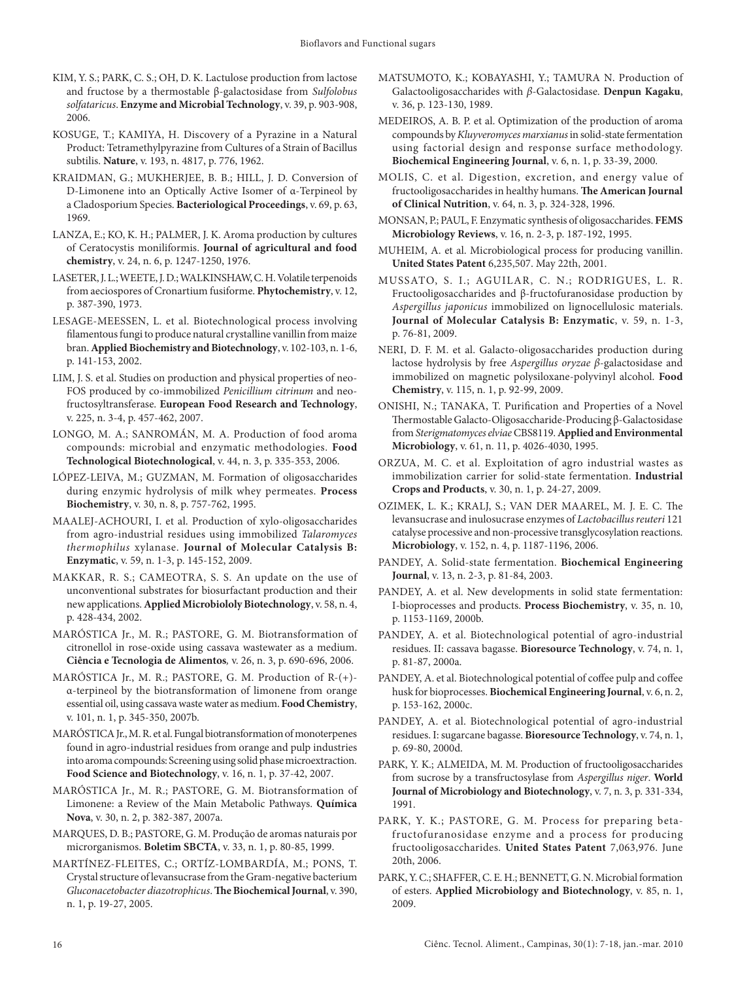- KIM, Y. S.; PARK, C. S.; OH, D. K. Lactulose production from lactose and fructose by a thermostable β-galactosidase from *Sulfolobus solfataricus*. **Enzyme and Microbial Technology**, v. 39, p. 903-908, 2006.
- KOSUGE, T.; KAMIYA, H. Discovery of a Pyrazine in a Natural Product: Tetramethylpyrazine from Cultures of a Strain of Bacillus subtilis. **Nature**, v. 193, n. 4817, p. 776, 1962.
- KRAIDMAN, G.; MUKHERJEE, B. B.; HILL, J. D. Conversion of D-Limonene into an Optically Active Isomer of α-Terpineol by a Cladosporium Species. **Bacteriological Proceedings**, v. 69, p. 63, 1969.
- LANZA, E.; KO, K. H.; PALMER, J. K. Aroma production by cultures of Ceratocystis moniliformis. **Journal of agricultural and food chemistry**, v. 24, n. 6, p. 1247-1250, 1976.
- LASETER, J. L.; WEETE, J. D.; WALKINSHAW, C. H. Volatile terpenoids from aeciospores of Cronartium fusiforme. **Phytochemistry**, v. 12, p. 387-390, 1973.
- LESAGE-MEESSEN, L. et al. Biotechnological process involving filamentous fungi to produce natural crystalline vanillin from maize bran. **Applied Biochemistry and Biotechnology**, v. 102-103, n. 1-6, p. 141-153, 2002.
- LIM, J. S. et al. Studies on production and physical properties of neo-FOS produced by co-immobilized *Penicillium citrinum* and neofructosyltransferase. **European Food Research and Technology**, v. 225, n. 3-4, p. 457-462, 2007.
- LONGO, M. A.; SANROMÁN, M. A. Production of food aroma compounds: microbial and enzymatic methodologies. **Food Technological Biotechnological**, v. 44, n. 3, p. 335-353, 2006.
- LÓPEZ-LEIVA, M.; GUZMAN, M. Formation of oligosaccharides during enzymic hydrolysis of milk whey permeates. **Process Biochemistry**, v. 30, n. 8, p. 757-762, 1995.
- MAALEJ-ACHOURI, I. et al. Production of xylo-oligosaccharides from agro-industrial residues using immobilized *Talaromyces thermophilus* xylanase. **Journal of Molecular Catalysis B: Enzymatic**, v. 59, n. 1-3, p. 145-152, 2009.
- MAKKAR, R. S.; CAMEOTRA, S. S. An update on the use of unconventional substrates for biosurfactant production and their new applications. **Applied Microbiololy Biotechnology**, v. 58, n. 4, p. 428-434, 2002.
- MARÓSTICA Jr., M. R.; PASTORE, G. M. Biotransformation of citronellol in rose-oxide using cassava wastewater as a medium. **Ciência e Tecnologia de Alimentos***,* v. 26, n. 3, p. 690-696, 2006.
- MARÓSTICA Jr., M. R.; PASTORE, G. M. Production of R-(+) α-terpineol by the biotransformation of limonene from orange essential oil, using cassava waste water as medium. **Food Chemistry**, v. 101, n. 1, p. 345-350, 2007b.
- MARÓSTICA Jr., M. R. et al. Fungal biotransformation of monoterpenes found in agro-industrial residues from orange and pulp industries into aroma compounds: Screening using solid phase microextraction. **Food Science and Biotechnology**, v. 16, n. 1, p. 37-42, 2007.
- MARÓSTICA Jr., M. R.; PASTORE, G. M. Biotransformation of Limonene: a Review of the Main Metabolic Pathways. **Química Nova**, v. 30, n. 2, p. 382-387, 2007a.
- MARQUES, D. B.; PASTORE, G. M. Produção de aromas naturais por microrganismos. **Boletim SBCTA**, v. 33, n. 1, p. 80-85, 1999.
- MARTÍNEZ-FLEITES, C.; ORTÍZ-LOMBARDÍA, M.; PONS, T. Crystal structure of levansucrase from the Gram-negative bacterium *Gluconacetobacter diazotrophicus*. **The Biochemical Journal**, v. 390, n. 1, p. 19-27, 2005.
- MATSUMOTO, K.; KOBAYASHI, Y.; TAMURA N. Production of Galactooligosaccharides with *β*-Galactosidase. **Denpun Kagaku**, v. 36, p. 123-130, 1989.
- MEDEIROS, A. B. P. et al. Optimization of the production of aroma compounds by *Kluyveromyces marxianus* in solid-state fermentation using factorial design and response surface methodology. **Biochemical Engineering Journal**, v. 6, n. 1, p. 33-39, 2000.
- MOLIS, C. et al. Digestion, excretion, and energy value of fructooligosaccharides in healthy humans. **The American Journal of Clinical Nutrition**, v. 64, n. 3, p. 324-328, 1996.
- MONSAN, P.; PAUL, F. Enzymatic synthesis of oligosaccharides. **FEMS Microbiology Reviews**, v. 16, n. 2-3, p. 187-192, 1995.
- MUHEIM, A. et al. Microbiological process for producing vanillin. **United States Patent** 6,235,507. May 22th, 2001.
- MUSSATO, S. I.; AGUILAR, C. N.; RODRIGUES, L. R. Fructooligosaccharides and β-fructofuranosidase production by *Aspergillus japonicus* immobilized on lignocellulosic materials. **Journal of Molecular Catalysis B: Enzymatic**, v. 59, n. 1-3, p. 76-81, 2009.
- NERI, D. F. M. et al. Galacto-oligosaccharides production during lactose hydrolysis by free *Aspergillus oryzae β*-galactosidase and immobilized on magnetic polysiloxane-polyvinyl alcohol. **Food Chemistry**, v. 115, n. 1, p. 92-99, 2009.
- ONISHI, N.; TANAKA, T. Purification and Properties of a Novel Thermostable Galacto-Oligosaccharide-Producing β-Galactosidase from *Sterigmatomyces elviae* CBS8119. **Applied and Environmental Microbiology**, v. 61, n. 11, p. 4026-4030, 1995.
- ORZUA, M. C. et al. Exploitation of agro industrial wastes as immobilization carrier for solid-state fermentation. **Industrial Crops and Products**, v. 30, n. 1, p. 24-27, 2009.
- OZIMEK, L. K.; KRALJ, S.; VAN DER MAAREL, M. J. E. C. The levansucrase and inulosucrase enzymes of *Lactobacillus reuteri* 121 catalyse processive and non-processive transglycosylation reactions. **Microbiology**, v. 152, n. 4, p. 1187-1196, 2006.
- PANDEY, A. Solid-state fermentation. **Biochemical Engineering Journal**, v. 13, n. 2-3, p. 81-84, 2003.
- PANDEY, A. et al. New developments in solid state fermentation: I-bioprocesses and products. **Process Biochemistry**, v. 35, n. 10, p. 1153-1169, 2000b.
- PANDEY, A. et al. Biotechnological potential of agro-industrial residues. II: cassava bagasse. **Bioresource Technology**, v. 74, n. 1, p. 81-87, 2000a.
- PANDEY, A. et al. Biotechnological potential of coffee pulp and coffee husk for bioprocesses. **Biochemical Engineering Journal**, v. 6, n. 2, p. 153-162, 2000c.
- PANDEY, A. et al. Biotechnological potential of agro-industrial residues. I: sugarcane bagasse. **Bioresource Technology**, v. 74, n. 1, p. 69-80, 2000d.
- PARK, Y. K.; ALMEIDA, M. M. Production of fructooligosaccharides from sucrose by a transfructosylase from *Aspergillus niger*. **World Journal of Microbiology and Biotechnology**, v. 7, n. 3, p. 331-334, 1991.
- PARK, Y. K.; PASTORE, G. M. Process for preparing betafructofuranosidase enzyme and a process for producing fructooligosaccharides. **United States Patent** 7,063,976. June 20th, 2006.
- PARK, Y. C.; SHAFFER, C. E. H.; BENNETT, G. N. Microbial formation of esters. **Applied Microbiology and Biotechnology**, v. 85, n. 1, 2009.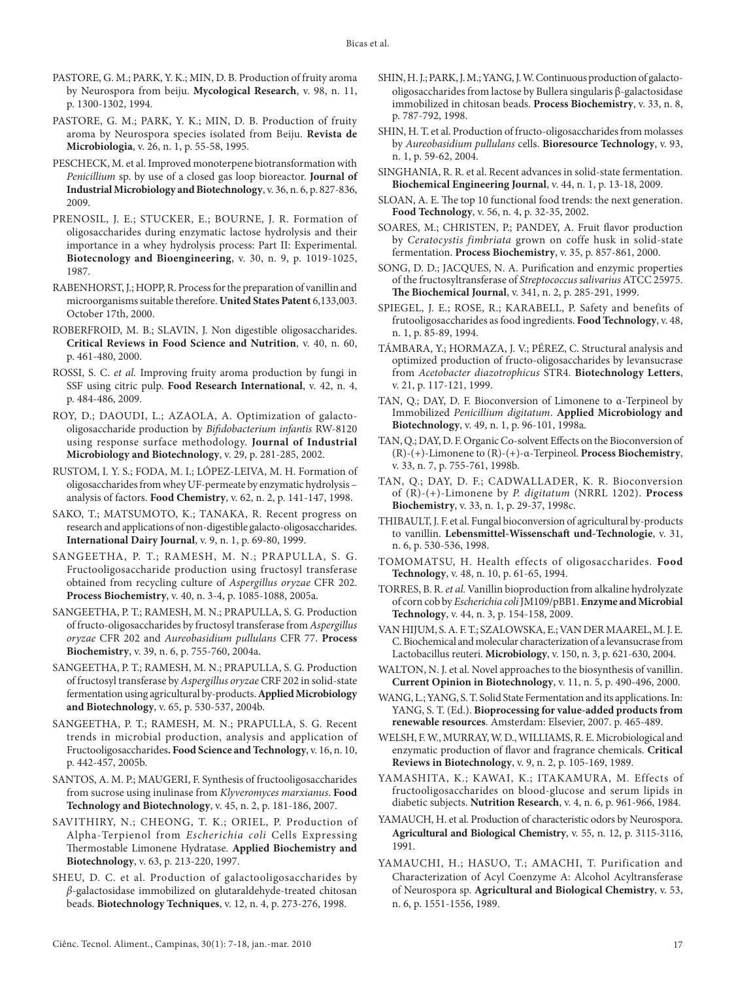- PASTORE, G. M.; PARK, Y. K.; MIN, D. B. Production of fruity aroma by Neurospora from beiju. **Mycological Research**, v. 98, n. 11, p. 1300-1302, 1994.
- PASTORE, G. M.; PARK, Y. K.; MIN, D. B. Production of fruity aroma by Neurospora species isolated from Beiju. **Revista de Microbiologia**, v. 26, n. 1, p. 55-58, 1995.
- PESCHECK, M. et al. Improved monoterpene biotransformation with *Penicillium* sp. by use of a closed gas loop bioreactor. **Journal of Industrial Microbiology and Biotechnology**, v. 36, n. 6, p. 827-836, 2009.
- PRENOSIL, J. E.; STUCKER, E.; BOURNE, J. R. Formation of oligosaccharides during enzymatic lactose hydrolysis and their importance in a whey hydrolysis process: Part II: Experimental. **Biotecnology and Bioengineering**, v. 30, n. 9, p. 1019-1025, 1987.
- RABENHORST, J.; HOPP, R. Process for the preparation of vanillin and microorganisms suitable therefore. **United States Patent** 6,133,003. October 17th, 2000.
- ROBERFROID, M. B.; SLAVIN, J. Non digestible oligosaccharides. **Critical Reviews in Food Science and Nutrition**, v. 40, n. 60, p. 461-480, 2000.
- ROSSI, S. C. *et al.* Improving fruity aroma production by fungi in SSF using citric pulp. **Food Research International**, v. 42, n. 4, p. 484-486, 2009.
- ROY, D.; DAOUDI, L.; AZAOLA, A. Optimization of galactooligosaccharide production by *Bifidobacterium infantis* RW-8120 using response surface methodology. **Journal of Industrial Microbiology and Biotechnology**, v. 29, p. 281-285, 2002.
- RUSTOM, I. Y. S.; FODA, M. I.; LÓPEZ-LEIVA, M. H. Formation of oligosaccharides from whey UF-permeate by enzymatic hydrolysis – analysis of factors. **Food Chemistry**, v. 62, n. 2, p. 141-147, 1998.
- SAKO, T.; MATSUMOTO, K.; TANAKA, R. Recent progress on research and applications of non-digestible galacto-oligosaccharides. **International Dairy Journal**, v. 9, n. 1, p. 69-80, 1999.
- SANGEETHA, P. T.; RAMESH, M. N.; PRAPULLA, S. G. Fructooligosaccharide production using fructosyl transferase obtained from recycling culture of *Aspergillus oryzae* CFR 202. **Process Biochemistry**, v. 40, n. 3-4, p. 1085-1088, 2005a.
- SANGEETHA, P. T.; RAMESH, M. N.; PRAPULLA, S. G. Production of fructo-oligosaccharides by fructosyl transferase from *Aspergillus oryzae* CFR 202 and *Aureobasidium pullulans* CFR 77. **Process Biochemistry**, v. 39, n. 6, p. 755-760, 2004a.
- SANGEETHA, P. T.; RAMESH, M. N.; PRAPULLA, S. G. Production of fructosyl transferase by *Aspergillus oryzae* CRF 202 in solid-state fermentation using agricultural by-products. **Applied Microbiology and Biotechnology**, v. 65, p. 530-537, 2004b.
- SANGEETHA, P. T.; RAMESH, M. N.; PRAPULLA, S. G. Recent trends in microbial production, analysis and application of Fructooligosaccharides**. Food Science and Technology**, v. 16, n. 10, p. 442-457, 2005b.
- SANTOS, A. M. P.; MAUGERI, F. Synthesis of fructooligosaccharides from sucrose using inulinase from *Klyveromyces marxianus*. **Food Technology and Biotechnology**, v. 45, n. 2, p. 181-186, 2007.
- SAVITHIRY, N.; CHEONG, T. K.; ORIEL, P. Production of Alpha-Terpienol from *Escherichia coli* Cells Expressing Thermostable Limonene Hydratase. **Applied Biochemistry and Biotechnology**, v. 63, p. 213-220, 1997.
- SHEU, D. C. et al. Production of galactooligosaccharides by *β*-galactosidase immobilized on glutaraldehyde-treated chitosan beads. **Biotechnology Techniques**, v. 12, n. 4, p. 273-276, 1998.
- SHIN, H. J.; PARK, J. M.; YANG, J. W. Continuous production of galactooligosaccharides from lactose by Bullera singularis β-galactosidase immobilized in chitosan beads. **Process Biochemistry**, v. 33, n. 8, p. 787-792, 1998.
- SHIN, H. T. et al. Production of fructo-oligosaccharides from molasses by *Aureobasidium pullulans* cells. **Bioresource Technology**, v. 93, n. 1, p. 59-62, 2004.
- SINGHANIA, R. R. et al. Recent advances in solid-state fermentation. **Biochemical Engineering Journal**, v. 44, n. 1, p. 13-18, 2009.
- SLOAN, A. E. The top 10 functional food trends: the next generation. **Food Technology**, v. 56, n. 4, p. 32-35, 2002.
- SOARES, M.; CHRISTEN, P.; PANDEY, A. Fruit flavor production by *Ceratocystis fimbriata* grown on coffe husk in solid-state fermentation. **Process Biochemistry**, v. 35, p. 857-861, 2000.
- SONG, D. D.; JACQUES, N. A. Purification and enzymic properties of the fructosyltransferase of *Streptococcus salivarius* ATCC 25975. **The Biochemical Journal**, v. 341, n. 2, p. 285-291, 1999.
- SPIEGEL, J. E.; ROSE, R.; KARABELL, P. Safety and benefits of frutooligosaccharides as food ingredients. **Food Technology**, v. 48, n. 1, p. 85-89, 1994.
- TÁMBARA, Y.; HORMAZA, J. V.; PÉREZ, C. Structural analysis and optimized production of fructo-oligosaccharides by levansucrase from *Acetobacter diazotrophicus* STR4. **Biotechnology Letters**, v. 21, p. 117-121, 1999.
- TAN, Q.; DAY, D. F. Bioconversion of Limonene to α-Terpineol by Immobilized *Penicillium digitatum*. **Applied Microbiology and Biotechnology**, v. 49, n. 1, p. 96-101, 1998a.
- TAN, Q.; DAY, D. F. Organic Co-solvent Effects on the Bioconversion of (R)-(+)-Limonene to (R)-(+)-α-Terpineol. **Process Biochemistry**, v. 33, n. 7, p. 755-761, 1998b.
- TAN, Q.; DAY, D. F.; CADWALLADER, K. R. Bioconversion of (R)-(+)-Limonene by *P. digitatum* (NRRL 1202). **Process Biochemistry**, v. 33, n. 1, p. 29-37, 1998c.
- THIBAULT, J. F. et al. Fungal bioconversion of agricultural by-products to vanillin. **Lebensmittel-Wissenschaft und-Technologie**, v. 31, n. 6, p. 530-536, 1998.
- TOMOMATSU, H. Health effects of oligosaccharides. **Food Technology**, v. 48, n. 10, p. 61-65, 1994.
- TORRES, B. R. *et al.* Vanillin bioproduction from alkaline hydrolyzate of corn cob by *Escherichia coli* JM109/pBB1. **Enzyme and Microbial Technology**, v. 44, n. 3, p. 154-158, 2009.
- VAN HIJUM, S. A. F. T.; SZALOWSKA, E.; VAN DER MAAREL, M. J. E. C. Biochemical and molecular characterization of a levansucrase from Lactobacillus reuteri. **Microbiology**, v. 150, n. 3, p. 621-630, 2004.
- WALTON, N. J. et al. Novel approaches to the biosynthesis of vanillin. **Current Opinion in Biotechnology**, v. 11, n. 5, p. 490-496, 2000.
- WANG, L.; YANG, S. T. Solid State Fermentation and its applications. In: YANG, S. T. (Ed.). **Bioprocessing for value-added products from renewable resources**. Amsterdam: Elsevier, 2007. p. 465-489.
- WELSH, F. W., MURRAY, W. D., WILLIAMS, R. E. Microbiological and enzymatic production of flavor and fragrance chemicals. **Critical Reviews in Biotechnology**, v. 9, n. 2, p. 105-169, 1989.
- YAMASHITA, K.; KAWAI, K.; ITAKAMURA, M. Effects of fructooligosaccharides on blood-glucose and serum lipids in diabetic subjects. **Nutrition Research**, v. 4, n. 6, p. 961-966, 1984.
- YAMAUCH, H. et al. Production of characteristic odors by Neurospora. **Agricultural and Biological Chemistry**, v. 55, n. 12, p. 3115-3116, 1991.
- YAMAUCHI, H.; HASUO, T.; AMACHI, T. Purification and Characterization of Acyl Coenzyme A: Alcohol Acyltransferase of Neurospora sp. **Agricultural and Biological Chemistry**, v. 53, n. 6, p. 1551-1556, 1989.